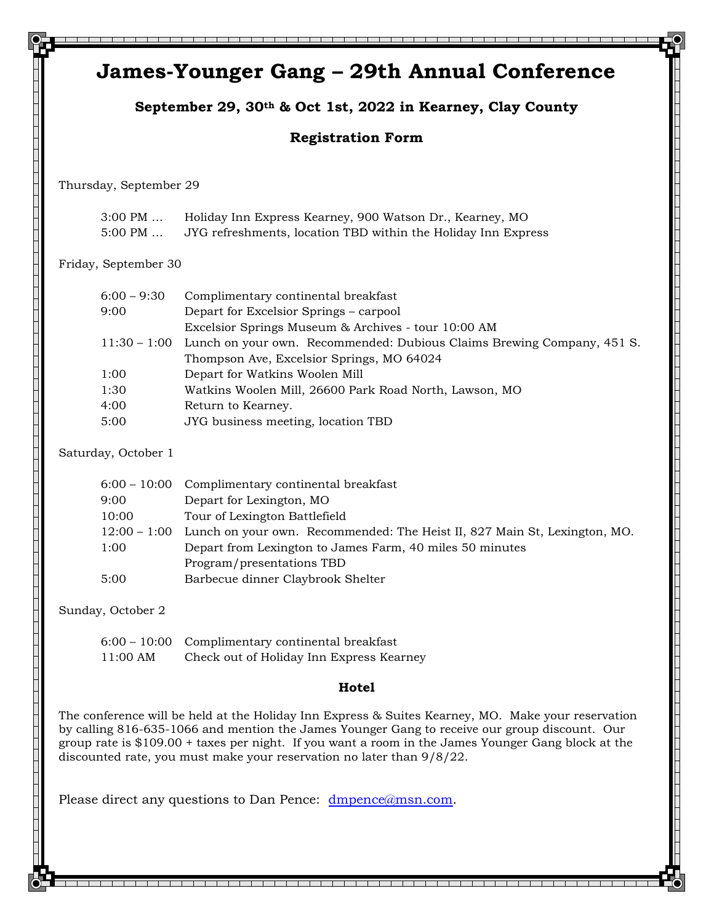|                                      | September 29, 30th & Oct 1st, 2022 in Kearney, Clay County                                                                                                                                                                                                                                                                                                                             |  |
|--------------------------------------|----------------------------------------------------------------------------------------------------------------------------------------------------------------------------------------------------------------------------------------------------------------------------------------------------------------------------------------------------------------------------------------|--|
|                                      | <b>Registration Form</b>                                                                                                                                                                                                                                                                                                                                                               |  |
| Thursday, September 29               |                                                                                                                                                                                                                                                                                                                                                                                        |  |
| $3:00 \text{ PM} \dots$<br>$5:00$ PM | Holiday Inn Express Kearney, 900 Watson Dr., Kearney, MO<br>JYG refreshments, location TBD within the Holiday Inn Express                                                                                                                                                                                                                                                              |  |
| Friday, September 30                 |                                                                                                                                                                                                                                                                                                                                                                                        |  |
| $6:00 - 9:30$<br>9:00                | Complimentary continental breakfast<br>Depart for Excelsior Springs - carpool<br>Excelsior Springs Museum & Archives - tour 10:00 AM                                                                                                                                                                                                                                                   |  |
| $11:30 - 1:00$                       | Lunch on your own. Recommended: Dubious Claims Brewing Company, 451 S.<br>Thompson Ave, Excelsior Springs, MO 64024                                                                                                                                                                                                                                                                    |  |
| 1:00<br>1:30                         | Depart for Watkins Woolen Mill<br>Watkins Woolen Mill, 26600 Park Road North, Lawson, MO                                                                                                                                                                                                                                                                                               |  |
| 4:00                                 | Return to Kearney.                                                                                                                                                                                                                                                                                                                                                                     |  |
| 5:00                                 | JYG business meeting, location TBD                                                                                                                                                                                                                                                                                                                                                     |  |
| Saturday, October 1                  |                                                                                                                                                                                                                                                                                                                                                                                        |  |
| $6:00 - 10:00$                       | Complimentary continental breakfast                                                                                                                                                                                                                                                                                                                                                    |  |
| 9:00<br>10:00                        | Depart for Lexington, MO<br>Tour of Lexington Battlefield                                                                                                                                                                                                                                                                                                                              |  |
| $12:00 - 1:00$                       | Lunch on your own. Recommended: The Heist II, 827 Main St, Lexington, MO.                                                                                                                                                                                                                                                                                                              |  |
| 1:00                                 | Depart from Lexington to James Farm, 40 miles 50 minutes                                                                                                                                                                                                                                                                                                                               |  |
| 5:00                                 | Program/presentations TBD<br>Barbecue dinner Claybrook Shelter                                                                                                                                                                                                                                                                                                                         |  |
| Sunday, October 2                    |                                                                                                                                                                                                                                                                                                                                                                                        |  |
| $6:00 - 10:00$<br>11:00 AM           | Complimentary continental breakfast<br>Check out of Holiday Inn Express Kearney                                                                                                                                                                                                                                                                                                        |  |
|                                      | Hotel                                                                                                                                                                                                                                                                                                                                                                                  |  |
|                                      | The conference will be held at the Holiday Inn Express & Suites Kearney, MO. Make your reservation<br>by calling 816-635-1066 and mention the James Younger Gang to receive our group discount. Our<br>group rate is \$109.00 + taxes per night. If you want a room in the James Younger Gang block at the<br>discounted rate, you must make your reservation no later than $9/8/22$ . |  |
|                                      | Please direct any questions to Dan Pence: dmpence@msn.com.                                                                                                                                                                                                                                                                                                                             |  |